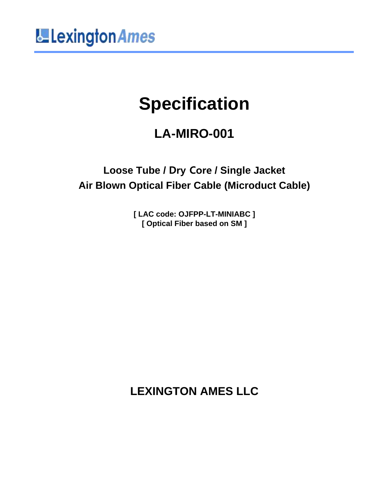

### **Specification**

### **LA-MIRO-001**

**Loose Tube / Dry Core / Single Jacket Air Blown Optical Fiber Cable (Microduct Cable)**

> **[ LAC code: OJFPP-LT-MINIABC ] [ Optical Fiber based on SM ]**

**LEXINGTON AMES LLC**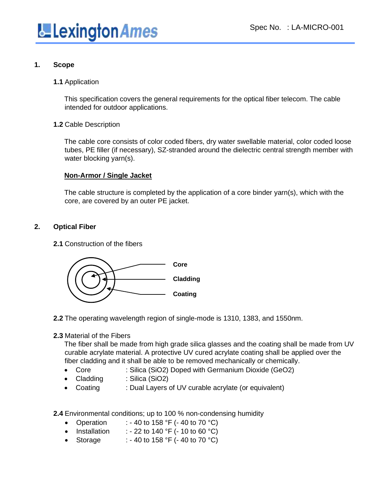

#### **1. Scope**

#### **1.1** Application

This specification covers the general requirements for the optical fiber telecom. The cable intended for outdoor applications.

#### **1.2** Cable Description

The cable core consists of color coded fibers, dry water swellable material, color coded loose tubes, PE filler (if necessary), SZ-stranded around the dielectric central strength member with water blocking yarn(s).

#### **Non-Armor / Single Jacket**

The cable structure is completed by the application of a core binder yarn(s), which with the core, are covered by an outer PE jacket.

#### **2. Optical Fiber**

**2.1** Construction of the fibers



**2.2** The operating wavelength region of single-mode is 1310, 1383, and 1550nm.

#### **2.3** Material of the Fibers

The fiber shall be made from high grade silica glasses and the coating shall be made from UV curable acrylate material. A protective UV cured acrylate coating shall be applied over the fiber cladding and it shall be able to be removed mechanically or chemically.

- Core : Silica (SiO2) Doped with Germanium Dioxide (GeO2)
- Cladding : Silica (SiO2)
- Coating : Dual Layers of UV curable acrylate (or equivalent)

**2.4** Environmental conditions; up to 100 % non-condensing humidity

- Operation : 40 to 158  $\degree$ F (- 40 to 70  $\degree$ C)
- Installation : 22 to 140  $\degree$ F (- 10 to 60  $\degree$ C)
- Storage : 40 to 158 °F (- 40 to 70 °C)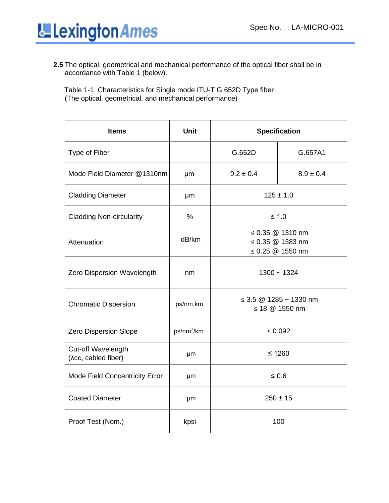

**2.5** The optical, geometrical and mechanical performance of the optical fiber shall be in accordance with Table 1 (below).

Table 1-1. Characteristics for Single mode ITU-T G.652D Type fiber (The optical, geometrical, and mechanical performance)

| <b>Items</b>                              | <b>Unit</b>            | <b>Specification</b>                         |                                                                |
|-------------------------------------------|------------------------|----------------------------------------------|----------------------------------------------------------------|
| <b>Type of Fiber</b>                      |                        | G.652D                                       | G.657A1                                                        |
| Mode Field Diameter @1310nm               | µm                     | $9.2 \pm 0.4$                                | $8.9 \pm 0.4$                                                  |
| <b>Cladding Diameter</b>                  | μm                     | $125 \pm 1.0$                                |                                                                |
| <b>Cladding Non-circularity</b>           | $\frac{0}{0}$          | $\leq 1.0$                                   |                                                                |
| Attenuation                               | dB/km                  |                                              | ≤ 0.35 $@$ 1310 nm<br>≤ 0.35 $@$ 1383 nm<br>≤ 0.25 $@$ 1550 nm |
| Zero Dispersion Wavelength                | nm                     | $1300 - 1324$                                |                                                                |
| <b>Chromatic Dispersion</b>               | ps/nm.km               | ≤ 3.5 $@$ 1285 ~ 1330 nm<br>≤ 18 $@$ 1550 nm |                                                                |
| <b>Zero Dispersion Slope</b>              | ps/nm <sup>2</sup> /km |                                              | $\leq 0.092$                                                   |
| Cut-off Wavelength<br>(Acc, cabled fiber) | μm                     | $≤ 1260$                                     |                                                                |
| Mode Field Concentricity Error            | μm                     | $\leq 0.6$                                   |                                                                |
| <b>Coated Diameter</b>                    | μm                     |                                              | $250 \pm 15$                                                   |
| Proof Test (Nom.)                         | kpsi                   |                                              | 100                                                            |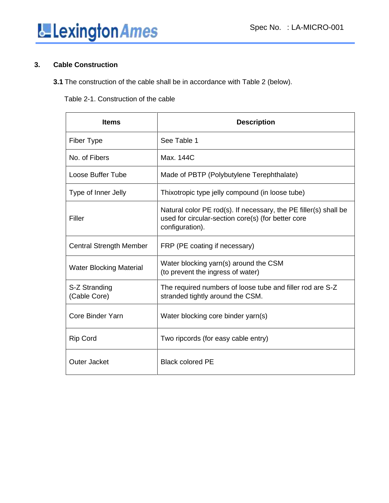# Lexington Ames

#### **3. Cable Construction**

**3.1** The construction of the cable shall be in accordance with Table 2 (below).

#### Table 2-1. Construction of the cable

| <b>Items</b>                   | <b>Description</b>                                                                                                                        |
|--------------------------------|-------------------------------------------------------------------------------------------------------------------------------------------|
| Fiber Type                     | See Table 1                                                                                                                               |
| No. of Fibers                  | Max. 144C                                                                                                                                 |
| Loose Buffer Tube              | Made of PBTP (Polybutylene Terephthalate)                                                                                                 |
| Type of Inner Jelly            | Thixotropic type jelly compound (in loose tube)                                                                                           |
| Filler                         | Natural color PE rod(s). If necessary, the PE filler(s) shall be<br>used for circular-section core(s) (for better core<br>configuration). |
| <b>Central Strength Member</b> | FRP (PE coating if necessary)                                                                                                             |
| <b>Water Blocking Material</b> | Water blocking yarn(s) around the CSM<br>(to prevent the ingress of water)                                                                |
| S-Z Stranding<br>(Cable Core)  | The required numbers of loose tube and filler rod are S-Z<br>stranded tightly around the CSM.                                             |
| Core Binder Yarn               | Water blocking core binder yarn(s)                                                                                                        |
| <b>Rip Cord</b>                | Two ripcords (for easy cable entry)                                                                                                       |
| <b>Outer Jacket</b>            | <b>Black colored PE</b>                                                                                                                   |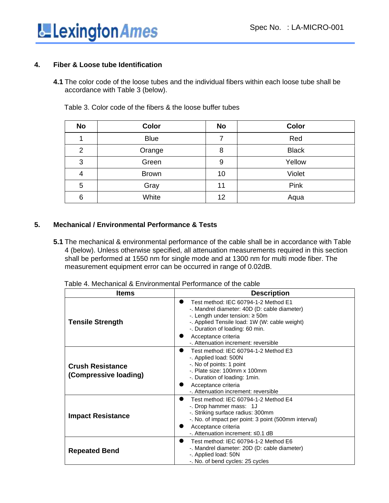

#### **4. Fiber & Loose tube Identification**

**4.1** The color code of the loose tubes and the individual fibers within each loose tube shall be accordance with Table 3 (below).

| <b>No</b> | <b>Color</b> | <b>No</b> | Color        |
|-----------|--------------|-----------|--------------|
|           | <b>Blue</b>  | 7         | Red          |
| 2         | Orange       | 8         | <b>Black</b> |
| 3         | Green        | 9         | Yellow       |
| 4         | <b>Brown</b> | 10        | Violet       |
| 5         | Gray         | 11        | Pink         |
| 6         | White        | 12        | Aqua         |

Table 3. Color code of the fibers & the loose buffer tubes

#### **5. Mechanical / Environmental Performance & Tests**

**5.1** The mechanical & environmental performance of the cable shall be in accordance with Table 4 (below). Unless otherwise specified, all attenuation measurements required in this section shall be performed at 1550 nm for single mode and at 1300 nm for multi mode fiber. The measurement equipment error can be occurred in range of 0.02dB.

| Table 4. Mechanical & Environmental Performance of the cable |  |
|--------------------------------------------------------------|--|
|--------------------------------------------------------------|--|

| <b>Items</b>                                     | <b>Description</b>                                                                                                                                                                                                                                                             |
|--------------------------------------------------|--------------------------------------------------------------------------------------------------------------------------------------------------------------------------------------------------------------------------------------------------------------------------------|
| <b>Tensile Strength</b>                          | Test method: IEC 60794-1-2 Method E1<br>-. Mandrel diameter: 40D (D: cable diameter)<br>-. Length under tension: $\geq$ 50m<br>-. Applied Tensile load: 1W (W: cable weight)<br>-. Duration of loading: 60 min.<br>Acceptance criteria<br>-. Attenuation increment: reversible |
| <b>Crush Resistance</b><br>(Compressive loading) | Test method: IEC 60794-1-2 Method E3<br>-. Applied load: 500N<br>-. No of points: 1 point<br>-. Plate size: 100mm x 100mm<br>-. Duration of loading: 1 min.<br>Acceptance criteria<br>-. Attenuation increment: reversible                                                     |
| <b>Impact Resistance</b>                         | Test method: IEC 60794-1-2 Method E4<br>$\bullet$<br>-. Drop hammer mass: 1J<br>-. Striking surface radius: 300mm<br>-. No. of impact per point: 3 point (500mm interval)<br>Acceptance criteria<br>-. Attenuation increment: ≤0.1 dB                                          |
| <b>Repeated Bend</b>                             | Test method: IEC 60794-1-2 Method E6<br>$\bullet$<br>-. Mandrel diameter: 20D (D: cable diameter)<br>-. Applied load: 50N<br>-. No. of bend cycles: 25 cycles                                                                                                                  |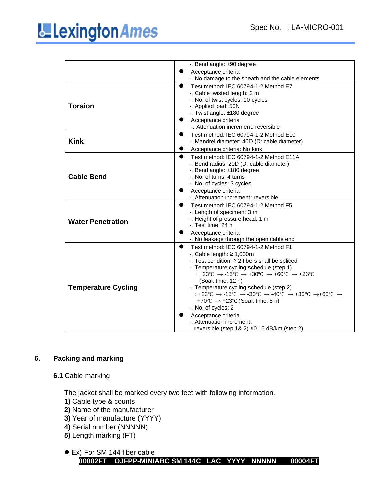## **LE** Lexington Ames

|                            | -. Bend angle: $±90$ degree                       |  |  |
|----------------------------|---------------------------------------------------|--|--|
|                            | Acceptance criteria                               |  |  |
|                            | -. No damage to the sheath and the cable elements |  |  |
|                            | Test method: IEC 60794-1-2 Method E7<br>●         |  |  |
|                            | -. Cable twisted length: 2 m                      |  |  |
|                            | -. No. of twist cycles: 10 cycles                 |  |  |
| <b>Torsion</b>             | -. Applied load: 50N                              |  |  |
|                            | -. Twist angle: ±180 degree                       |  |  |
|                            | Acceptance criteria                               |  |  |
|                            | -. Attenuation increment: reversible              |  |  |
|                            | Test method: IEC 60794-1-2 Method E10             |  |  |
| <b>Kink</b>                | -. Mandrel diameter: 40D (D: cable diameter)      |  |  |
|                            | Acceptance criteria: No kink                      |  |  |
|                            | Test method: IEC 60794-1-2 Method E11A            |  |  |
|                            | -. Bend radius: 20D (D: cable diameter)           |  |  |
|                            | -. Bend angle: ±180 degree                        |  |  |
| <b>Cable Bend</b>          | -. No. of turns: 4 turns                          |  |  |
|                            | -. No. of cycles: 3 cycles                        |  |  |
|                            | Acceptance criteria                               |  |  |
|                            | -. Attenuation increment: reversible              |  |  |
|                            | Test method: IEC 60794-1-2 Method F5<br>$\bullet$ |  |  |
|                            | -. Length of specimen: 3 m                        |  |  |
| <b>Water Penetration</b>   | -. Height of pressure head: 1 m                   |  |  |
|                            | -. Test time: 24 h                                |  |  |
|                            | Acceptance criteria                               |  |  |
|                            | -. No leakage through the open cable end          |  |  |
|                            | Test method: IEC 60794-1-2 Method F1              |  |  |
|                            | -. Cable length: $\geq 1,000$ m                   |  |  |
|                            | -. Test condition: ≥ 2 fibers shall be spliced    |  |  |
|                            | -. Temperature cycling schedule (step 1)          |  |  |
|                            | : +23°C → -15°C → +30°C → +60°C → +23°C           |  |  |
|                            | (Soak time: 12 h)                                 |  |  |
| <b>Temperature Cycling</b> | -. Temperature cycling schedule (step 2)          |  |  |
|                            | : +23°C → -15°C → -30°C → -40°C → +30°C → +60°C → |  |  |
|                            | +70°C $\rightarrow$ +23°C (Soak time: 8 h)        |  |  |
|                            | -. No. of cycles: 2                               |  |  |
|                            | Acceptance criteria                               |  |  |
|                            | -. Attenuation increment:                         |  |  |
|                            | reversible (step 1& 2) ≤0.15 dB/km (step 2)       |  |  |

#### **6. Packing and marking**

#### **6.1** Cable marking

The jacket shall be marked every two feet with following information.

- **1)** Cable type & counts
- **2)** Name of the manufacturer
- **3)** Year of manufacture (YYYY)
- **4)** Serial number (NNNNN)
- **5)** Length marking (FT)

```
⚫ Ex) For SM 144 fiber cable 
00002FT OJFPP-MINIABC SM 144C LAC YYYY NNNNN 00004FT
```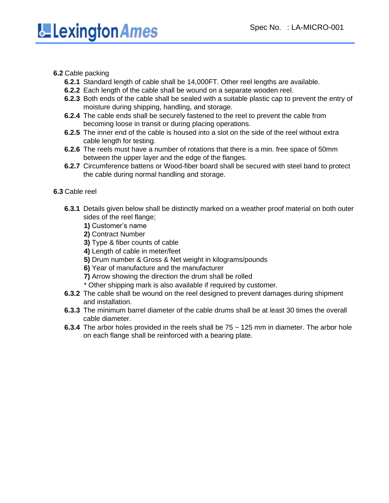#### **6.2** Cable packing

- **6.2.1** Standard length of cable shall be 14,000FT. Other reel lengths are available.
- **6.2.2** Each length of the cable shall be wound on a separate wooden reel.
- **6.2.3** Both ends of the cable shall be sealed with a suitable plastic cap to prevent the entry of moisture during shipping, handling, and storage.
- **6.2.4** The cable ends shall be securely fastened to the reel to prevent the cable from becoming loose in transit or during placing operations.
- **6.2.5** The inner end of the cable is housed into a slot on the side of the reel without extra cable length for testing.
- **6.2.6** The reels must have a number of rotations that there is a min. free space of 50mm between the upper layer and the edge of the flanges.
- **6.2.7** Circumference battens or Wood-fiber board shall be secured with steel band to protect the cable during normal handling and storage.

#### **6.3** Cable reel

- **6.3.1** Details given below shall be distinctly marked on a weather proof material on both outer sides of the reel flange;
	- **1)** Customer's name
	- **2)** Contract Number
	- **3)** Type & fiber counts of cable
	- **4)** Length of cable in meter/feet
	- **5)** Drum number & Gross & Net weight in kilograms/pounds
	- **6)** Year of manufacture and the manufacturer
	- **7)** Arrow showing the direction the drum shall be rolled
	- \* Other shipping mark is also available if required by customer.
- **6.3.2** The cable shall be wound on the reel designed to prevent damages during shipment and installation.
- **6.3.3** The minimum barrel diameter of the cable drums shall be at least 30 times the overall cable diameter.
- **6.3.4** The arbor holes provided in the reels shall be 75 ~ 125 mm in diameter. The arbor hole on each flange shall be reinforced with a bearing plate.